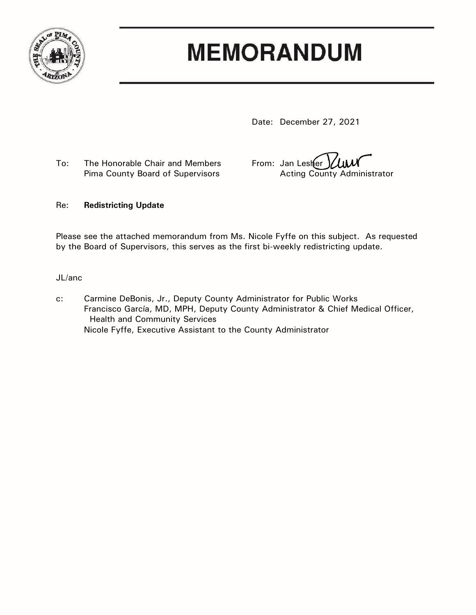

# **MEMORANDUM**

Date: December 27, 2021

To: The Honorable Chair and Members From: Jan Lester Pima County Board of Supervisors **Acting County Administrator** 

### Re: **Redistricting Update**

Please see the attached memorandum from Ms. Nicole Fyffe on this subject. As requested by the Board of Supervisors, this serves as the first bi-weekly redistricting update.

JL/anc

c: Carmine DeBonis, Jr., Deputy County Administrator for Public Works Francisco García, MD, MPH, Deputy County Administrator & Chief Medical Officer, Health and Community Services Nicole Fyffe, Executive Assistant to the County Administrator